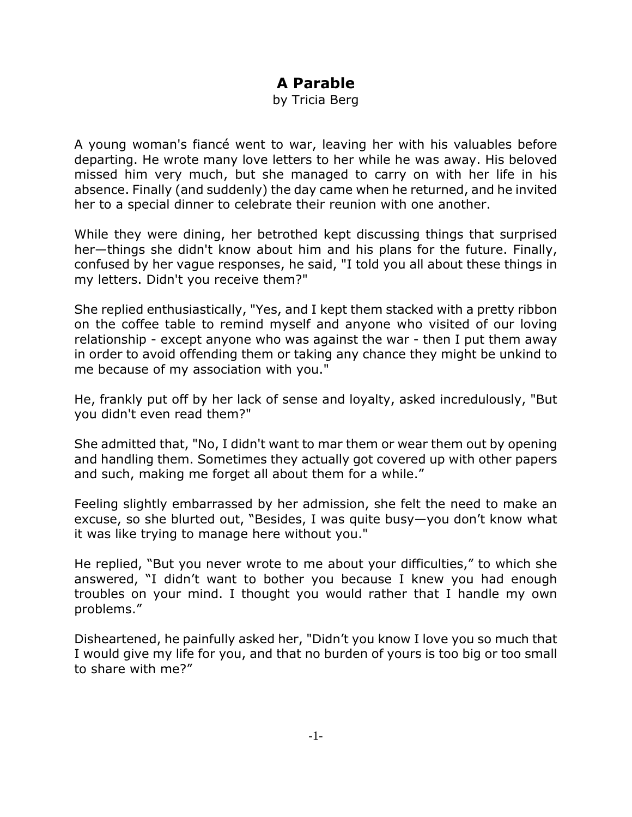## **A Parable**

by Tricia Berg

A young woman's fiancé went to war, leaving her with his valuables before departing. He wrote many love letters to her while he was away. His beloved missed him very much, but she managed to carry on with her life in his absence. Finally (and suddenly) the day came when he returned, and he invited her to a special dinner to celebrate their reunion with one another.

While they were dining, her betrothed kept discussing things that surprised her—things she didn't know about him and his plans for the future. Finally, confused by her vague responses, he said, "I told you all about these things in my letters. Didn't you receive them?"

She replied enthusiastically, "Yes, and I kept them stacked with a pretty ribbon on the coffee table to remind myself and anyone who visited of our loving relationship - except anyone who was against the war - then I put them away in order to avoid offending them or taking any chance they might be unkind to me because of my association with you."

He, frankly put off by her lack of sense and loyalty, asked incredulously, "But you didn't even read them?"

She admitted that, "No, I didn't want to mar them or wear them out by opening and handling them. Sometimes they actually got covered up with other papers and such, making me forget all about them for a while."

Feeling slightly embarrassed by her admission, she felt the need to make an excuse, so she blurted out, "Besides, I was quite busy—you don't know what it was like trying to manage here without you."

He replied, "But you never wrote to me about your difficulties," to which she answered, "I didn't want to bother you because I knew you had enough troubles on your mind. I thought you would rather that I handle my own problems."

Disheartened, he painfully asked her, "Didn't you know I love you so much that I would give my life for you, and that no burden of yours is too big or too small to share with me?"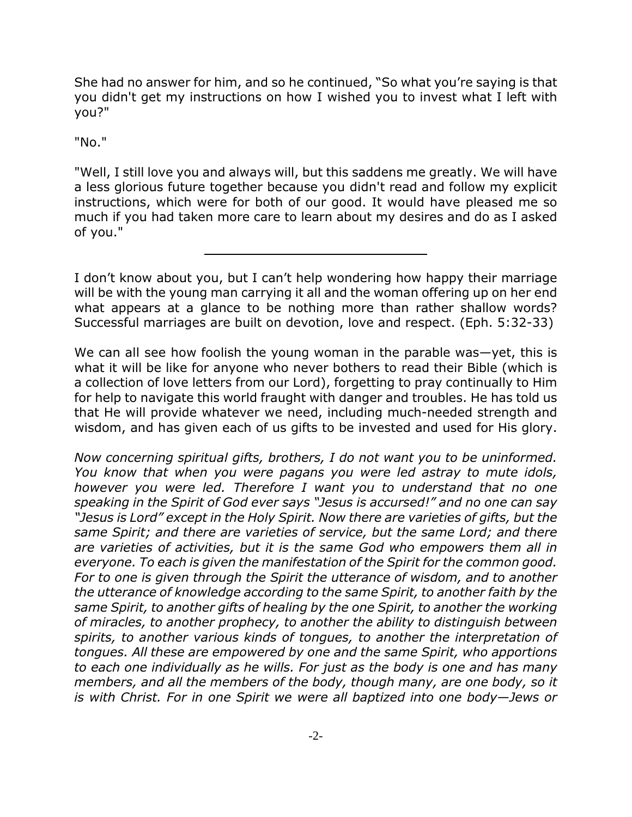She had no answer for him, and so he continued, "So what you're saying is that you didn't get my instructions on how I wished you to invest what I left with you?"

"No."

"Well, I still love you and always will, but this saddens me greatly. We will have a less glorious future together because you didn't read and follow my explicit instructions, which were for both of our good. It would have pleased me so much if you had taken more care to learn about my desires and do as I asked of you."

I don't know about you, but I can't help wondering how happy their marriage will be with the young man carrying it all and the woman offering up on her end what appears at a glance to be nothing more than rather shallow words? Successful marriages are built on devotion, love and respect. (Eph. 5:32-33)

We can all see how foolish the young woman in the parable was—yet, this is what it will be like for anyone who never bothers to read their Bible (which is a collection of love letters from our Lord), forgetting to pray continually to Him for help to navigate this world fraught with danger and troubles. He has told us that He will provide whatever we need, including much-needed strength and wisdom, and has given each of us gifts to be invested and used for His glory.

*Now concerning spiritual gifts, brothers, I do not want you to be uninformed. You know that when you were pagans you were led astray to mute idols, however you were led. Therefore I want you to understand that no one speaking in the Spirit of God ever says "Jesus is accursed!" and no one can say "Jesus is Lord" except in the Holy Spirit. Now there are varieties of gifts, but the same Spirit; and there are varieties of service, but the same Lord; and there are varieties of activities, but it is the same God who empowers them all in everyone. To each is given the manifestation of the Spirit for the common good. For to one is given through the Spirit the utterance of wisdom, and to another the utterance of knowledge according to the same Spirit, to another faith by the same Spirit, to another gifts of healing by the one Spirit, to another the working of miracles, to another prophecy, to another the ability to distinguish between spirits, to another various kinds of tongues, to another the interpretation of tongues. All these are empowered by one and the same Spirit, who apportions to each one individually as he wills. For just as the body is one and has many members, and all the members of the body, though many, are one body, so it is with Christ. For in one Spirit we were all baptized into one body—Jews or*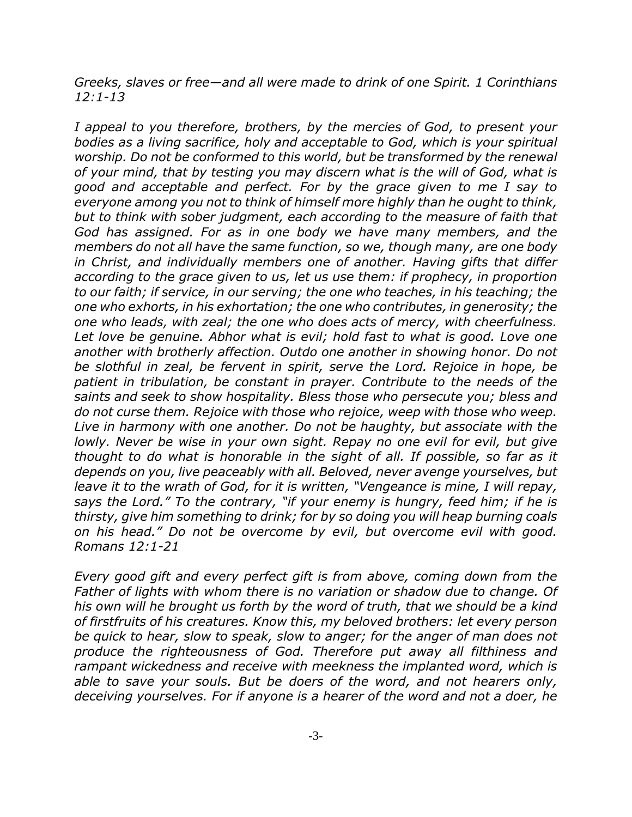*Greeks, slaves or free—and all were made to drink of one Spirit. 1 Corinthians 12:1-13*

*I appeal to you therefore, brothers, by the mercies of God, to present your bodies as a living sacrifice, holy and acceptable to God, which is your spiritual worship. Do not be conformed to this world, but be transformed by the renewal of your mind, that by testing you may discern what is the will of God, what is good and acceptable and perfect. For by the grace given to me I say to everyone among you not to think of himself more highly than he ought to think, but to think with sober judgment, each according to the measure of faith that God has assigned. For as in one body we have many members, and the members do not all have the same function, so we, though many, are one body in Christ, and individually members one of another. Having gifts that differ according to the grace given to us, let us use them: if prophecy, in proportion to our faith; if service, in our serving; the one who teaches, in his teaching; the one who exhorts, in his exhortation; the one who contributes, in generosity; the one who leads, with zeal; the one who does acts of mercy, with cheerfulness. Let love be genuine. Abhor what is evil; hold fast to what is good. Love one another with brotherly affection. Outdo one another in showing honor. Do not be slothful in zeal, be fervent in spirit, serve the Lord. Rejoice in hope, be patient in tribulation, be constant in prayer. Contribute to the needs of the saints and seek to show hospitality. Bless those who persecute you; bless and do not curse them. Rejoice with those who rejoice, weep with those who weep. Live in harmony with one another. Do not be haughty, but associate with the lowly. Never be wise in your own sight. Repay no one evil for evil, but give thought to do what is honorable in the sight of all. If possible, so far as it depends on you, live peaceably with all. Beloved, never avenge yourselves, but leave it to the wrath of God, for it is written, "Vengeance is mine, I will repay, says the Lord." To the contrary, "if your enemy is hungry, feed him; if he is thirsty, give him something to drink; for by so doing you will heap burning coals on his head." Do not be overcome by evil, but overcome evil with good. Romans 12:1-21*

*Every good gift and every perfect gift is from above, coming down from the Father of lights with whom there is no variation or shadow due to change. Of his own will he brought us forth by the word of truth, that we should be a kind of firstfruits of his creatures. Know this, my beloved brothers: let every person be quick to hear, slow to speak, slow to anger; for the anger of man does not produce the righteousness of God. Therefore put away all filthiness and rampant wickedness and receive with meekness the implanted word, which is able to save your souls. But be doers of the word, and not hearers only, deceiving yourselves. For if anyone is a hearer of the word and not a doer, he*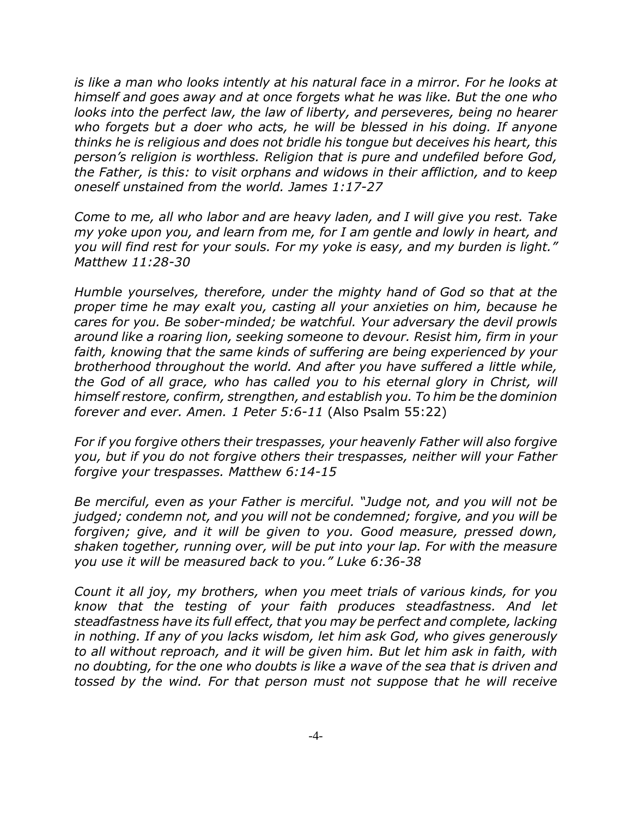*is like a man who looks intently at his natural face in a mirror. For he looks at himself and goes away and at once forgets what he was like. But the one who looks into the perfect law, the law of liberty, and perseveres, being no hearer who forgets but a doer who acts, he will be blessed in his doing. If anyone thinks he is religious and does not bridle his tongue but deceives his heart, this person's religion is worthless. Religion that is pure and undefiled before God, the Father, is this: to visit orphans and widows in their affliction, and to keep oneself unstained from the world. James 1:17-27*

*Come to me, all who labor and are heavy laden, and I will give you rest. Take my yoke upon you, and learn from me, for I am gentle and lowly in heart, and you will find rest for your souls. For my yoke is easy, and my burden is light." Matthew 11:28-30*

*Humble yourselves, therefore, under the mighty hand of God so that at the proper time he may exalt you, casting all your anxieties on him, because he cares for you. Be sober-minded; be watchful. Your adversary the devil prowls around like a roaring lion, seeking someone to devour. Resist him, firm in your faith, knowing that the same kinds of suffering are being experienced by your brotherhood throughout the world. And after you have suffered a little while, the God of all grace, who has called you to his eternal glory in Christ, will himself restore, confirm, strengthen, and establish you. To him be the dominion forever and ever. Amen. 1 Peter 5:6-11* (Also Psalm 55:22)

*For if you forgive others their trespasses, your heavenly Father will also forgive you, but if you do not forgive others their trespasses, neither will your Father forgive your trespasses. Matthew 6:14-15*

*Be merciful, even as your Father is merciful. "Judge not, and you will not be judged; condemn not, and you will not be condemned; forgive, and you will be forgiven; give, and it will be given to you. Good measure, pressed down, shaken together, running over, will be put into your lap. For with the measure you use it will be measured back to you." Luke 6:36-38*

*Count it all joy, my brothers, when you meet trials of various kinds, for you know that the testing of your faith produces steadfastness. And let steadfastness have its full effect, that you may be perfect and complete, lacking in nothing. If any of you lacks wisdom, let him ask God, who gives generously to all without reproach, and it will be given him. But let him ask in faith, with no doubting, for the one who doubts is like a wave of the sea that is driven and tossed by the wind. For that person must not suppose that he will receive*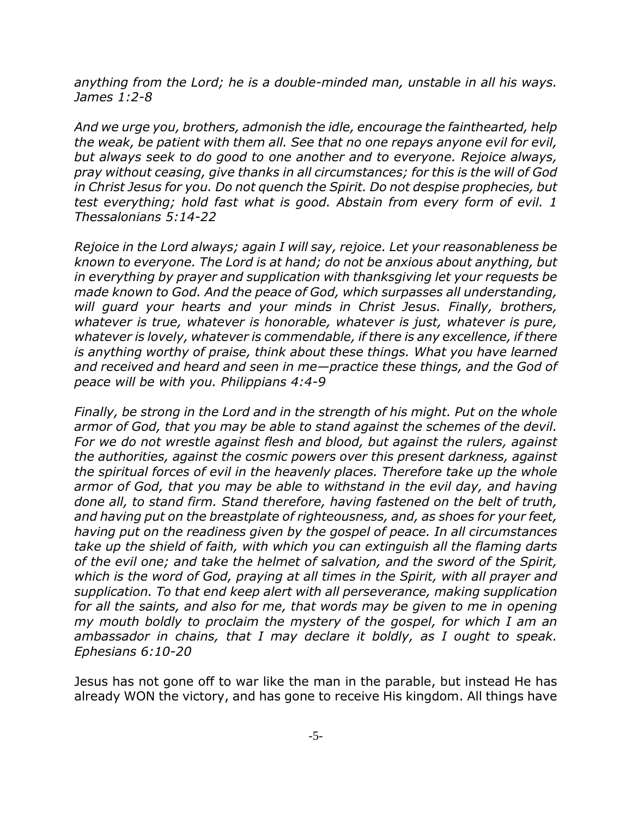*anything from the Lord; he is a double-minded man, unstable in all his ways. James 1:2-8*

*And we urge you, brothers, admonish the idle, encourage the fainthearted, help the weak, be patient with them all. See that no one repays anyone evil for evil, but always seek to do good to one another and to everyone. Rejoice always, pray without ceasing, give thanks in all circumstances; for this is the will of God in Christ Jesus for you. Do not quench the Spirit. Do not despise prophecies, but test everything; hold fast what is good. Abstain from every form of evil. 1 Thessalonians 5:14-22*

*Rejoice in the Lord always; again I will say, rejoice. Let your reasonableness be known to everyone. The Lord is at hand; do not be anxious about anything, but in everything by prayer and supplication with thanksgiving let your requests be made known to God. And the peace of God, which surpasses all understanding, will guard your hearts and your minds in Christ Jesus. Finally, brothers, whatever is true, whatever is honorable, whatever is just, whatever is pure, whatever is lovely, whatever is commendable, if there is any excellence, if there is anything worthy of praise, think about these things. What you have learned and received and heard and seen in me—practice these things, and the God of peace will be with you. Philippians 4:4-9*

*Finally, be strong in the Lord and in the strength of his might. Put on the whole armor of God, that you may be able to stand against the schemes of the devil. For we do not wrestle against flesh and blood, but against the rulers, against the authorities, against the cosmic powers over this present darkness, against the spiritual forces of evil in the heavenly places. Therefore take up the whole armor of God, that you may be able to withstand in the evil day, and having done all, to stand firm. Stand therefore, having fastened on the belt of truth, and having put on the breastplate of righteousness, and, as shoes for your feet, having put on the readiness given by the gospel of peace. In all circumstances take up the shield of faith, with which you can extinguish all the flaming darts of the evil one; and take the helmet of salvation, and the sword of the Spirit, which is the word of God, praying at all times in the Spirit, with all prayer and supplication. To that end keep alert with all perseverance, making supplication for all the saints, and also for me, that words may be given to me in opening my mouth boldly to proclaim the mystery of the gospel, for which I am an ambassador in chains, that I may declare it boldly, as I ought to speak. Ephesians 6:10-20*

Jesus has not gone off to war like the man in the parable, but instead He has already WON the victory, and has gone to receive His kingdom. All things have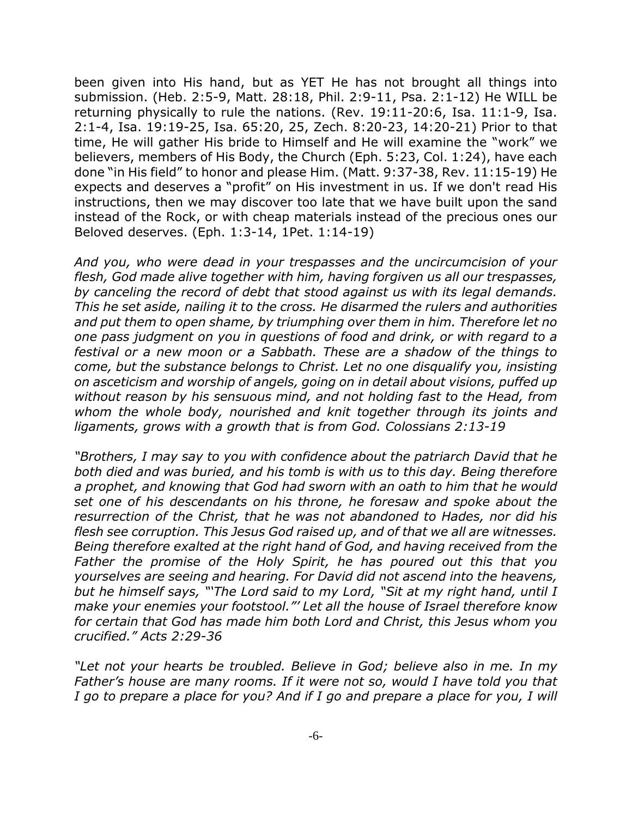been given into His hand, but as YET He has not brought all things into submission. (Heb. 2:5-9, Matt. 28:18, Phil. 2:9-11, Psa. 2:1-12) He WILL be returning physically to rule the nations. (Rev. 19:11-20:6, Isa. 11:1-9, Isa. 2:1-4, Isa. 19:19-25, Isa. 65:20, 25, Zech. 8:20-23, 14:20-21) Prior to that time, He will gather His bride to Himself and He will examine the "work" we believers, members of His Body, the Church (Eph. 5:23, Col. 1:24), have each done "in His field" to honor and please Him. (Matt. 9:37-38, Rev. 11:15-19) He expects and deserves a "profit" on His investment in us. If we don't read His instructions, then we may discover too late that we have built upon the sand instead of the Rock, or with cheap materials instead of the precious ones our Beloved deserves. (Eph. 1:3-14, 1Pet. 1:14-19)

*And you, who were dead in your trespasses and the uncircumcision of your flesh, God made alive together with him, having forgiven us all our trespasses, by canceling the record of debt that stood against us with its legal demands. This he set aside, nailing it to the cross. He disarmed the rulers and authorities and put them to open shame, by triumphing over them in him. Therefore let no one pass judgment on you in questions of food and drink, or with regard to a festival or a new moon or a Sabbath. These are a shadow of the things to come, but the substance belongs to Christ. Let no one disqualify you, insisting on asceticism and worship of angels, going on in detail about visions, puffed up without reason by his sensuous mind, and not holding fast to the Head, from whom the whole body, nourished and knit together through its joints and ligaments, grows with a growth that is from God. Colossians 2:13-19*

*"Brothers, I may say to you with confidence about the patriarch David that he both died and was buried, and his tomb is with us to this day. Being therefore a prophet, and knowing that God had sworn with an oath to him that he would set one of his descendants on his throne, he foresaw and spoke about the resurrection of the Christ, that he was not abandoned to Hades, nor did his flesh see corruption. This Jesus God raised up, and of that we all are witnesses. Being therefore exalted at the right hand of God, and having received from the Father the promise of the Holy Spirit, he has poured out this that you yourselves are seeing and hearing. For David did not ascend into the heavens, but he himself says, "'The Lord said to my Lord, "Sit at my right hand, until I make your enemies your footstool."' Let all the house of Israel therefore know for certain that God has made him both Lord and Christ, this Jesus whom you crucified." Acts 2:29-36*

*"Let not your hearts be troubled. Believe in God; believe also in me. In my Father's house are many rooms. If it were not so, would I have told you that I go to prepare a place for you? And if I go and prepare a place for you, I will*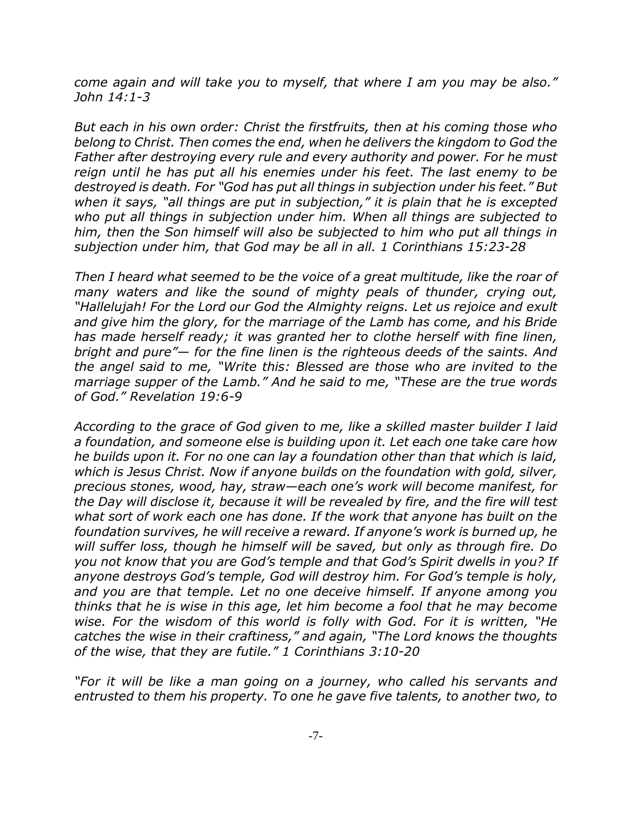*come again and will take you to myself, that where I am you may be also." John 14:1-3*

*But each in his own order: Christ the firstfruits, then at his coming those who belong to Christ. Then comes the end, when he delivers the kingdom to God the Father after destroying every rule and every authority and power. For he must reign until he has put all his enemies under his feet. The last enemy to be destroyed is death. For "God has put all things in subjection under his feet." But when it says, "all things are put in subjection," it is plain that he is excepted who put all things in subjection under him. When all things are subjected to him, then the Son himself will also be subjected to him who put all things in subjection under him, that God may be all in all. 1 Corinthians 15:23-28*

*Then I heard what seemed to be the voice of a great multitude, like the roar of many waters and like the sound of mighty peals of thunder, crying out, "Hallelujah! For the Lord our God the Almighty reigns. Let us rejoice and exult and give him the glory, for the marriage of the Lamb has come, and his Bride has made herself ready; it was granted her to clothe herself with fine linen, bright and pure"— for the fine linen is the righteous deeds of the saints. And the angel said to me, "Write this: Blessed are those who are invited to the marriage supper of the Lamb." And he said to me, "These are the true words of God." Revelation 19:6-9*

*According to the grace of God given to me, like a skilled master builder I laid a foundation, and someone else is building upon it. Let each one take care how he builds upon it. For no one can lay a foundation other than that which is laid, which is Jesus Christ. Now if anyone builds on the foundation with gold, silver, precious stones, wood, hay, straw—each one's work will become manifest, for the Day will disclose it, because it will be revealed by fire, and the fire will test what sort of work each one has done. If the work that anyone has built on the foundation survives, he will receive a reward. If anyone's work is burned up, he will suffer loss, though he himself will be saved, but only as through fire. Do you not know that you are God's temple and that God's Spirit dwells in you? If anyone destroys God's temple, God will destroy him. For God's temple is holy, and you are that temple. Let no one deceive himself. If anyone among you thinks that he is wise in this age, let him become a fool that he may become wise. For the wisdom of this world is folly with God. For it is written, "He catches the wise in their craftiness," and again, "The Lord knows the thoughts of the wise, that they are futile." 1 Corinthians 3:10-20*

*"For it will be like a man going on a journey, who called his servants and entrusted to them his property. To one he gave five talents, to another two, to*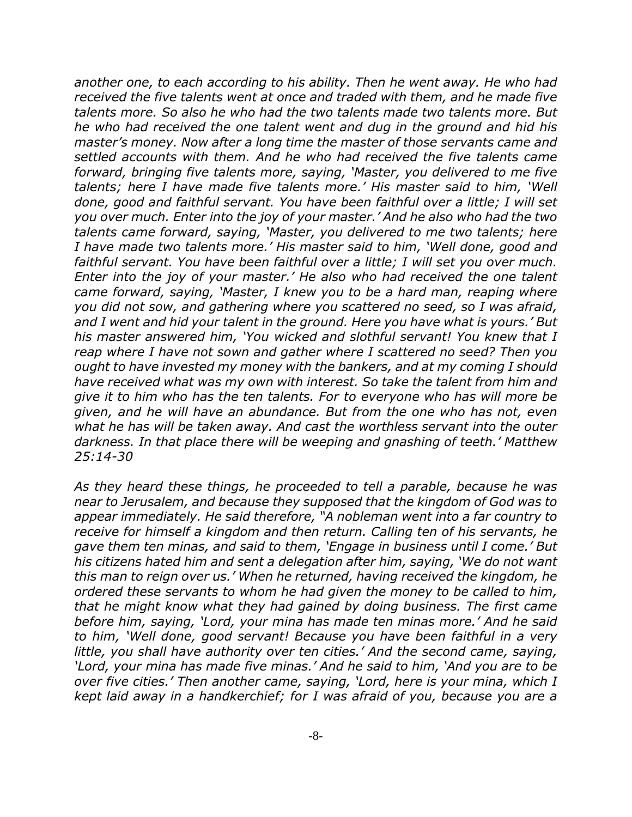*another one, to each according to his ability. Then he went away. He who had received the five talents went at once and traded with them, and he made five talents more. So also he who had the two talents made two talents more. But he who had received the one talent went and dug in the ground and hid his master's money. Now after a long time the master of those servants came and settled accounts with them. And he who had received the five talents came forward, bringing five talents more, saying, 'Master, you delivered to me five talents; here I have made five talents more.' His master said to him, 'Well done, good and faithful servant. You have been faithful over a little; I will set you over much. Enter into the joy of your master.' And he also who had the two talents came forward, saying, 'Master, you delivered to me two talents; here I have made two talents more.' His master said to him, 'Well done, good and faithful servant. You have been faithful over a little; I will set you over much. Enter into the joy of your master.' He also who had received the one talent came forward, saying, 'Master, I knew you to be a hard man, reaping where you did not sow, and gathering where you scattered no seed, so I was afraid, and I went and hid your talent in the ground. Here you have what is yours.' But his master answered him, 'You wicked and slothful servant! You knew that I reap where I have not sown and gather where I scattered no seed? Then you ought to have invested my money with the bankers, and at my coming I should have received what was my own with interest. So take the talent from him and give it to him who has the ten talents. For to everyone who has will more be given, and he will have an abundance. But from the one who has not, even what he has will be taken away. And cast the worthless servant into the outer darkness. In that place there will be weeping and gnashing of teeth.' Matthew 25:14-30*

*As they heard these things, he proceeded to tell a parable, because he was near to Jerusalem, and because they supposed that the kingdom of God was to appear immediately. He said therefore, "A nobleman went into a far country to receive for himself a kingdom and then return. Calling ten of his servants, he gave them ten minas, and said to them, 'Engage in business until I come.' But his citizens hated him and sent a delegation after him, saying, 'We do not want this man to reign over us.' When he returned, having received the kingdom, he ordered these servants to whom he had given the money to be called to him, that he might know what they had gained by doing business. The first came before him, saying, 'Lord, your mina has made ten minas more.' And he said to him, 'Well done, good servant! Because you have been faithful in a very little, you shall have authority over ten cities.' And the second came, saying, 'Lord, your mina has made five minas.' And he said to him, 'And you are to be over five cities.' Then another came, saying, 'Lord, here is your mina, which I kept laid away in a handkerchief; for I was afraid of you, because you are a*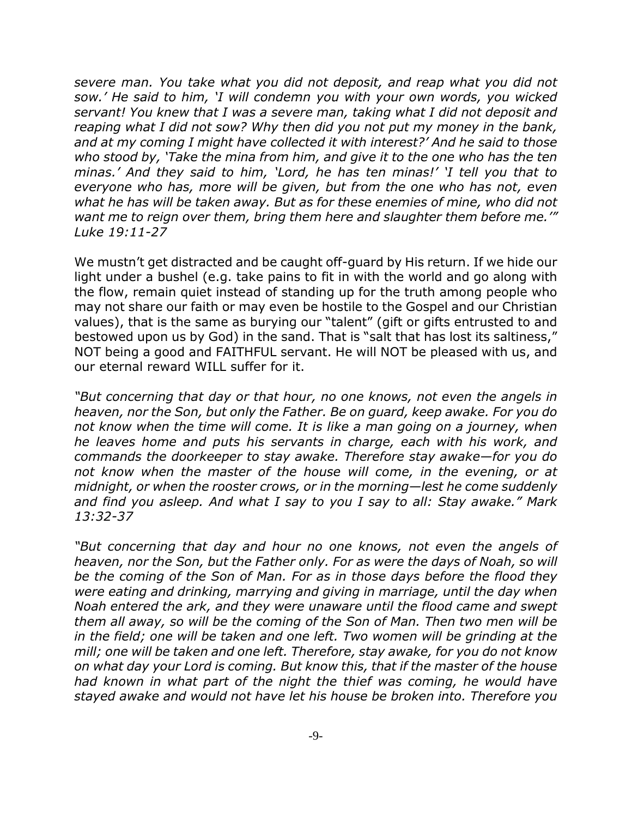*severe man. You take what you did not deposit, and reap what you did not sow.' He said to him, 'I will condemn you with your own words, you wicked servant! You knew that I was a severe man, taking what I did not deposit and reaping what I did not sow? Why then did you not put my money in the bank, and at my coming I might have collected it with interest?' And he said to those who stood by, 'Take the mina from him, and give it to the one who has the ten minas.' And they said to him, 'Lord, he has ten minas!' 'I tell you that to everyone who has, more will be given, but from the one who has not, even what he has will be taken away. But as for these enemies of mine, who did not want me to reign over them, bring them here and slaughter them before me.'" Luke 19:11-27*

We mustn't get distracted and be caught off-guard by His return. If we hide our light under a bushel (e.g. take pains to fit in with the world and go along with the flow, remain quiet instead of standing up for the truth among people who may not share our faith or may even be hostile to the Gospel and our Christian values), that is the same as burying our "talent" (gift or gifts entrusted to and bestowed upon us by God) in the sand. That is "salt that has lost its saltiness," NOT being a good and FAITHFUL servant. He will NOT be pleased with us, and our eternal reward WILL suffer for it.

*"But concerning that day or that hour, no one knows, not even the angels in heaven, nor the Son, but only the Father. Be on guard, keep awake. For you do not know when the time will come. It is like a man going on a journey, when he leaves home and puts his servants in charge, each with his work, and commands the doorkeeper to stay awake. Therefore stay awake—for you do not know when the master of the house will come, in the evening, or at midnight, or when the rooster crows, or in the morning—lest he come suddenly and find you asleep. And what I say to you I say to all: Stay awake." Mark 13:32-37*

*"But concerning that day and hour no one knows, not even the angels of heaven, nor the Son, but the Father only. For as were the days of Noah, so will be the coming of the Son of Man. For as in those days before the flood they were eating and drinking, marrying and giving in marriage, until the day when Noah entered the ark, and they were unaware until the flood came and swept them all away, so will be the coming of the Son of Man. Then two men will be in the field; one will be taken and one left. Two women will be grinding at the mill; one will be taken and one left. Therefore, stay awake, for you do not know on what day your Lord is coming. But know this, that if the master of the house had known in what part of the night the thief was coming, he would have stayed awake and would not have let his house be broken into. Therefore you*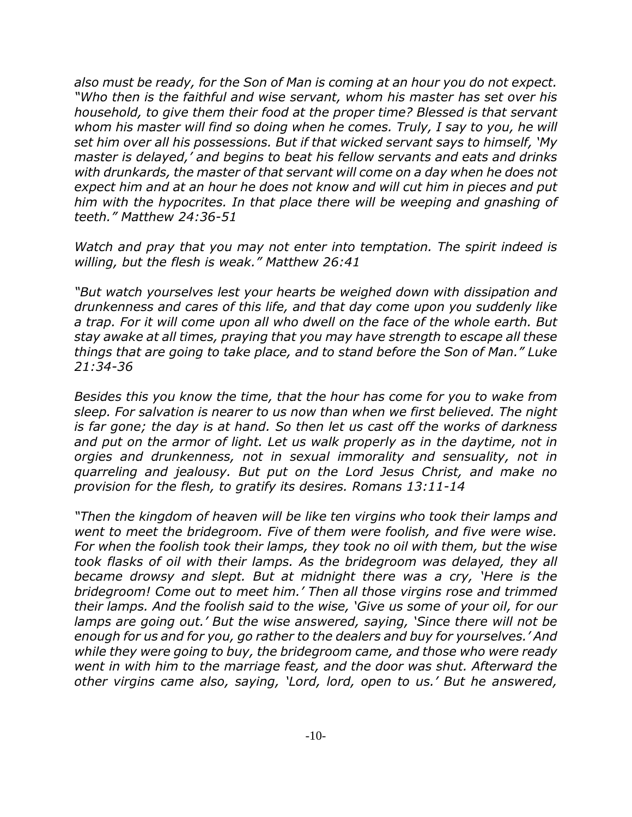*also must be ready, for the Son of Man is coming at an hour you do not expect. "Who then is the faithful and wise servant, whom his master has set over his household, to give them their food at the proper time? Blessed is that servant whom his master will find so doing when he comes. Truly, I say to you, he will set him over all his possessions. But if that wicked servant says to himself, 'My master is delayed,' and begins to beat his fellow servants and eats and drinks with drunkards, the master of that servant will come on a day when he does not expect him and at an hour he does not know and will cut him in pieces and put him with the hypocrites. In that place there will be weeping and gnashing of teeth." Matthew 24:36-51*

*Watch and pray that you may not enter into temptation. The spirit indeed is willing, but the flesh is weak." Matthew 26:41*

*"But watch yourselves lest your hearts be weighed down with dissipation and drunkenness and cares of this life, and that day come upon you suddenly like a trap. For it will come upon all who dwell on the face of the whole earth. But stay awake at all times, praying that you may have strength to escape all these things that are going to take place, and to stand before the Son of Man." Luke 21:34-36*

*Besides this you know the time, that the hour has come for you to wake from sleep. For salvation is nearer to us now than when we first believed. The night is far gone; the day is at hand. So then let us cast off the works of darkness and put on the armor of light. Let us walk properly as in the daytime, not in orgies and drunkenness, not in sexual immorality and sensuality, not in quarreling and jealousy. But put on the Lord Jesus Christ, and make no provision for the flesh, to gratify its desires. Romans 13:11-14*

*"Then the kingdom of heaven will be like ten virgins who took their lamps and went to meet the bridegroom. Five of them were foolish, and five were wise. For when the foolish took their lamps, they took no oil with them, but the wise took flasks of oil with their lamps. As the bridegroom was delayed, they all became drowsy and slept. But at midnight there was a cry, 'Here is the bridegroom! Come out to meet him.' Then all those virgins rose and trimmed their lamps. And the foolish said to the wise, 'Give us some of your oil, for our lamps are going out.' But the wise answered, saying, 'Since there will not be enough for us and for you, go rather to the dealers and buy for yourselves.' And while they were going to buy, the bridegroom came, and those who were ready went in with him to the marriage feast, and the door was shut. Afterward the other virgins came also, saying, 'Lord, lord, open to us.' But he answered,*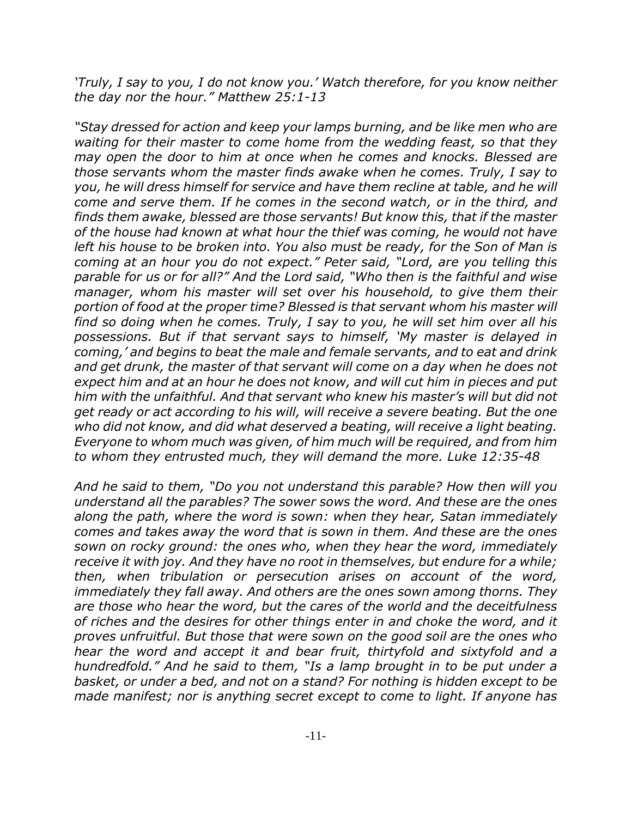*'Truly, I say to you, I do not know you.' Watch therefore, for you know neither the day nor the hour." Matthew 25:1-13*

*"Stay dressed for action and keep your lamps burning, and be like men who are waiting for their master to come home from the wedding feast, so that they may open the door to him at once when he comes and knocks. Blessed are those servants whom the master finds awake when he comes. Truly, I say to you, he will dress himself for service and have them recline at table, and he will come and serve them. If he comes in the second watch, or in the third, and finds them awake, blessed are those servants! But know this, that if the master of the house had known at what hour the thief was coming, he would not have left his house to be broken into. You also must be ready, for the Son of Man is coming at an hour you do not expect." Peter said, "Lord, are you telling this parable for us or for all?" And the Lord said, "Who then is the faithful and wise manager, whom his master will set over his household, to give them their portion of food at the proper time? Blessed is that servant whom his master will find so doing when he comes. Truly, I say to you, he will set him over all his possessions. But if that servant says to himself, 'My master is delayed in coming,' and begins to beat the male and female servants, and to eat and drink and get drunk, the master of that servant will come on a day when he does not expect him and at an hour he does not know, and will cut him in pieces and put him with the unfaithful. And that servant who knew his master's will but did not get ready or act according to his will, will receive a severe beating. But the one who did not know, and did what deserved a beating, will receive a light beating. Everyone to whom much was given, of him much will be required, and from him to whom they entrusted much, they will demand the more. Luke 12:35-48*

*And he said to them, "Do you not understand this parable? How then will you understand all the parables? The sower sows the word. And these are the ones along the path, where the word is sown: when they hear, Satan immediately comes and takes away the word that is sown in them. And these are the ones sown on rocky ground: the ones who, when they hear the word, immediately receive it with joy. And they have no root in themselves, but endure for a while; then, when tribulation or persecution arises on account of the word, immediately they fall away. And others are the ones sown among thorns. They are those who hear the word, but the cares of the world and the deceitfulness of riches and the desires for other things enter in and choke the word, and it proves unfruitful. But those that were sown on the good soil are the ones who hear the word and accept it and bear fruit, thirtyfold and sixtyfold and a hundredfold." And he said to them, "Is a lamp brought in to be put under a basket, or under a bed, and not on a stand? For nothing is hidden except to be made manifest; nor is anything secret except to come to light. If anyone has*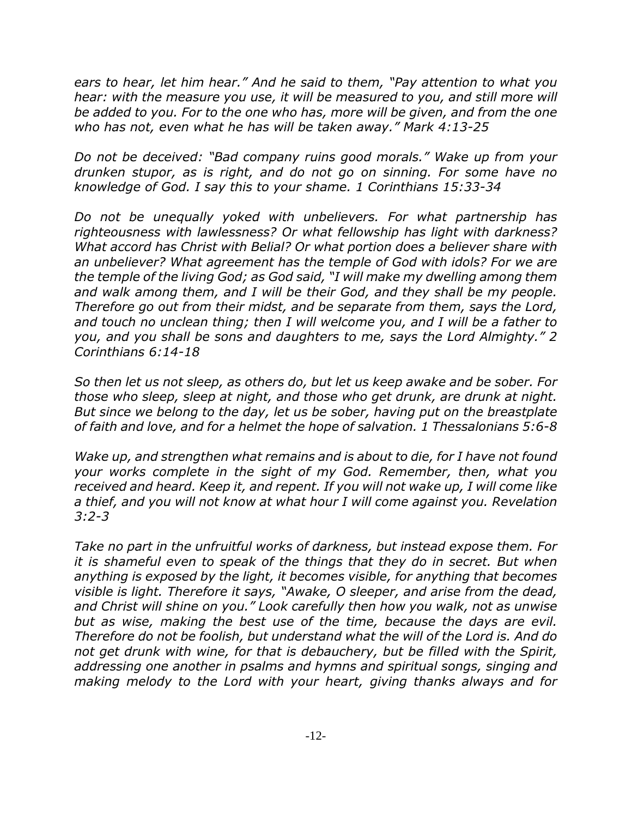*ears to hear, let him hear." And he said to them, "Pay attention to what you hear: with the measure you use, it will be measured to you, and still more will be added to you. For to the one who has, more will be given, and from the one who has not, even what he has will be taken away." Mark 4:13-25*

*Do not be deceived: "Bad company ruins good morals." Wake up from your drunken stupor, as is right, and do not go on sinning. For some have no knowledge of God. I say this to your shame. 1 Corinthians 15:33-34*

*Do not be unequally yoked with unbelievers. For what partnership has righteousness with lawlessness? Or what fellowship has light with darkness? What accord has Christ with Belial? Or what portion does a believer share with an unbeliever? What agreement has the temple of God with idols? For we are the temple of the living God; as God said, "I will make my dwelling among them and walk among them, and I will be their God, and they shall be my people. Therefore go out from their midst, and be separate from them, says the Lord, and touch no unclean thing; then I will welcome you, and I will be a father to you, and you shall be sons and daughters to me, says the Lord Almighty." 2 Corinthians 6:14-18*

*So then let us not sleep, as others do, but let us keep awake and be sober. For those who sleep, sleep at night, and those who get drunk, are drunk at night. But since we belong to the day, let us be sober, having put on the breastplate of faith and love, and for a helmet the hope of salvation. 1 Thessalonians 5:6-8*

*Wake up, and strengthen what remains and is about to die, for I have not found your works complete in the sight of my God. Remember, then, what you received and heard. Keep it, and repent. If you will not wake up, I will come like a thief, and you will not know at what hour I will come against you. Revelation 3:2-3*

*Take no part in the unfruitful works of darkness, but instead expose them. For it is shameful even to speak of the things that they do in secret. But when anything is exposed by the light, it becomes visible, for anything that becomes visible is light. Therefore it says, "Awake, O sleeper, and arise from the dead, and Christ will shine on you." Look carefully then how you walk, not as unwise but as wise, making the best use of the time, because the days are evil. Therefore do not be foolish, but understand what the will of the Lord is. And do not get drunk with wine, for that is debauchery, but be filled with the Spirit, addressing one another in psalms and hymns and spiritual songs, singing and making melody to the Lord with your heart, giving thanks always and for*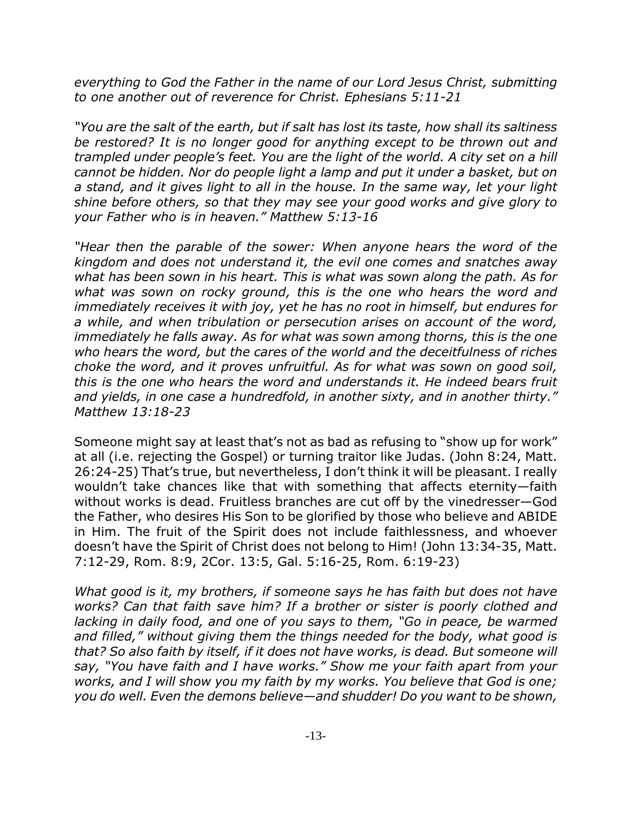*everything to God the Father in the name of our Lord Jesus Christ, submitting to one another out of reverence for Christ. Ephesians 5:11-21*

*"You are the salt of the earth, but if salt has lost its taste, how shall its saltiness be restored? It is no longer good for anything except to be thrown out and trampled under people's feet. You are the light of the world. A city set on a hill cannot be hidden. Nor do people light a lamp and put it under a basket, but on a stand, and it gives light to all in the house. In the same way, let your light shine before others, so that they may see your good works and give glory to your Father who is in heaven." Matthew 5:13-16*

*"Hear then the parable of the sower: When anyone hears the word of the kingdom and does not understand it, the evil one comes and snatches away what has been sown in his heart. This is what was sown along the path. As for what was sown on rocky ground, this is the one who hears the word and immediately receives it with joy, yet he has no root in himself, but endures for a while, and when tribulation or persecution arises on account of the word, immediately he falls away. As for what was sown among thorns, this is the one who hears the word, but the cares of the world and the deceitfulness of riches choke the word, and it proves unfruitful. As for what was sown on good soil, this is the one who hears the word and understands it. He indeed bears fruit and yields, in one case a hundredfold, in another sixty, and in another thirty." Matthew 13:18-23*

Someone might say at least that's not as bad as refusing to "show up for work" at all (i.e. rejecting the Gospel) or turning traitor like Judas. (John 8:24, Matt. 26:24-25) That's true, but nevertheless, I don't think it will be pleasant. I really wouldn't take chances like that with something that affects eternity—faith without works is dead. Fruitless branches are cut off by the vinedresser—God the Father, who desires His Son to be glorified by those who believe and ABIDE in Him. The fruit of the Spirit does not include faithlessness, and whoever doesn't have the Spirit of Christ does not belong to Him! (John 13:34-35, Matt. 7:12-29, Rom. 8:9, 2Cor. 13:5, Gal. 5:16-25, Rom. 6:19-23)

*What good is it, my brothers, if someone says he has faith but does not have works? Can that faith save him? If a brother or sister is poorly clothed and lacking in daily food, and one of you says to them, "Go in peace, be warmed and filled," without giving them the things needed for the body, what good is that? So also faith by itself, if it does not have works, is dead. But someone will say, "You have faith and I have works." Show me your faith apart from your works, and I will show you my faith by my works. You believe that God is one; you do well. Even the demons believe—and shudder! Do you want to be shown,*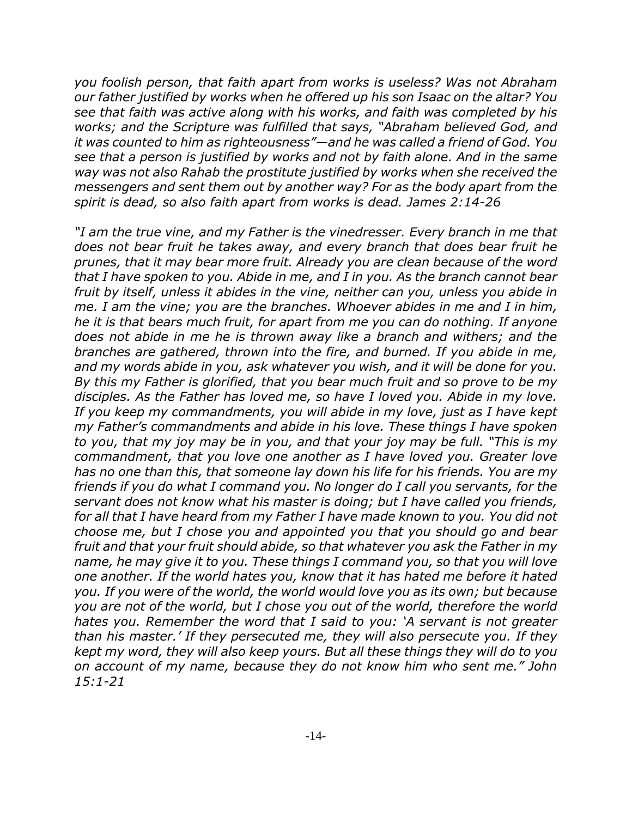*you foolish person, that faith apart from works is useless? Was not Abraham our father justified by works when he offered up his son Isaac on the altar? You see that faith was active along with his works, and faith was completed by his works; and the Scripture was fulfilled that says, "Abraham believed God, and it was counted to him as righteousness"—and he was called a friend of God. You see that a person is justified by works and not by faith alone. And in the same way was not also Rahab the prostitute justified by works when she received the messengers and sent them out by another way? For as the body apart from the spirit is dead, so also faith apart from works is dead. James 2:14-26*

*"I am the true vine, and my Father is the vinedresser. Every branch in me that does not bear fruit he takes away, and every branch that does bear fruit he prunes, that it may bear more fruit. Already you are clean because of the word that I have spoken to you. Abide in me, and I in you. As the branch cannot bear fruit by itself, unless it abides in the vine, neither can you, unless you abide in me. I am the vine; you are the branches. Whoever abides in me and I in him, he it is that bears much fruit, for apart from me you can do nothing. If anyone does not abide in me he is thrown away like a branch and withers; and the branches are gathered, thrown into the fire, and burned. If you abide in me, and my words abide in you, ask whatever you wish, and it will be done for you. By this my Father is glorified, that you bear much fruit and so prove to be my disciples. As the Father has loved me, so have I loved you. Abide in my love. If you keep my commandments, you will abide in my love, just as I have kept my Father's commandments and abide in his love. These things I have spoken to you, that my joy may be in you, and that your joy may be full. "This is my commandment, that you love one another as I have loved you. Greater love has no one than this, that someone lay down his life for his friends. You are my friends if you do what I command you. No longer do I call you servants, for the servant does not know what his master is doing; but I have called you friends, for all that I have heard from my Father I have made known to you. You did not choose me, but I chose you and appointed you that you should go and bear fruit and that your fruit should abide, so that whatever you ask the Father in my name, he may give it to you. These things I command you, so that you will love one another. If the world hates you, know that it has hated me before it hated you. If you were of the world, the world would love you as its own; but because you are not of the world, but I chose you out of the world, therefore the world hates you. Remember the word that I said to you: 'A servant is not greater than his master.' If they persecuted me, they will also persecute you. If they kept my word, they will also keep yours. But all these things they will do to you on account of my name, because they do not know him who sent me." John 15:1-21*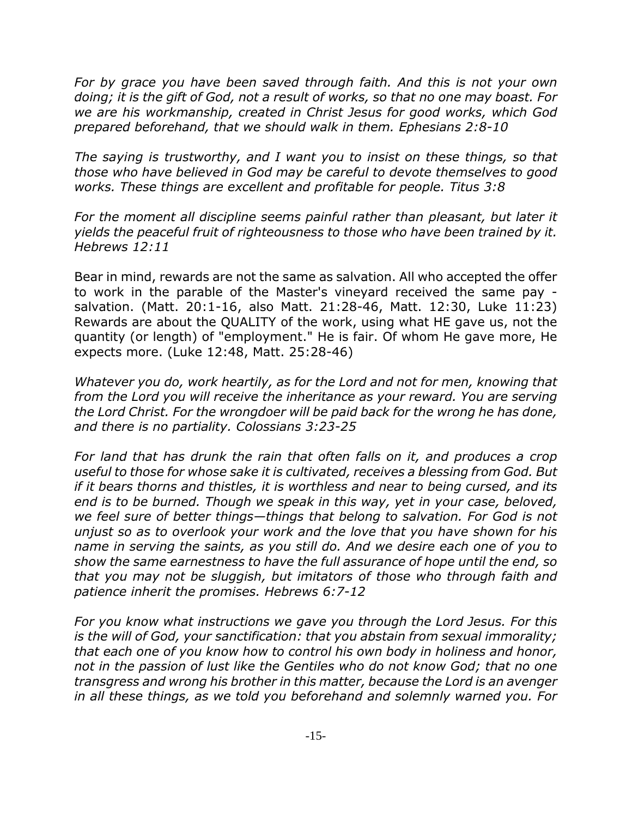*For by grace you have been saved through faith. And this is not your own doing; it is the gift of God, not a result of works, so that no one may boast. For we are his workmanship, created in Christ Jesus for good works, which God prepared beforehand, that we should walk in them. Ephesians 2:8-10*

*The saying is trustworthy, and I want you to insist on these things, so that those who have believed in God may be careful to devote themselves to good works. These things are excellent and profitable for people. Titus 3:8*

*For the moment all discipline seems painful rather than pleasant, but later it yields the peaceful fruit of righteousness to those who have been trained by it. Hebrews 12:11*

Bear in mind, rewards are not the same as salvation. All who accepted the offer to work in the parable of the Master's vineyard received the same pay salvation. (Matt. 20:1-16, also Matt. 21:28-46, Matt. 12:30, Luke 11:23) Rewards are about the QUALITY of the work, using what HE gave us, not the quantity (or length) of "employment." He is fair. Of whom He gave more, He expects more. (Luke 12:48, Matt. 25:28-46)

*Whatever you do, work heartily, as for the Lord and not for men, knowing that from the Lord you will receive the inheritance as your reward. You are serving the Lord Christ. For the wrongdoer will be paid back for the wrong he has done, and there is no partiality. Colossians 3:23-25*

*For land that has drunk the rain that often falls on it, and produces a crop useful to those for whose sake it is cultivated, receives a blessing from God. But if it bears thorns and thistles, it is worthless and near to being cursed, and its end is to be burned. Though we speak in this way, yet in your case, beloved, we feel sure of better things—things that belong to salvation. For God is not unjust so as to overlook your work and the love that you have shown for his name in serving the saints, as you still do. And we desire each one of you to show the same earnestness to have the full assurance of hope until the end, so that you may not be sluggish, but imitators of those who through faith and patience inherit the promises. Hebrews 6:7-12*

*For you know what instructions we gave you through the Lord Jesus. For this is the will of God, your sanctification: that you abstain from sexual immorality; that each one of you know how to control his own body in holiness and honor, not in the passion of lust like the Gentiles who do not know God; that no one transgress and wrong his brother in this matter, because the Lord is an avenger in all these things, as we told you beforehand and solemnly warned you. For*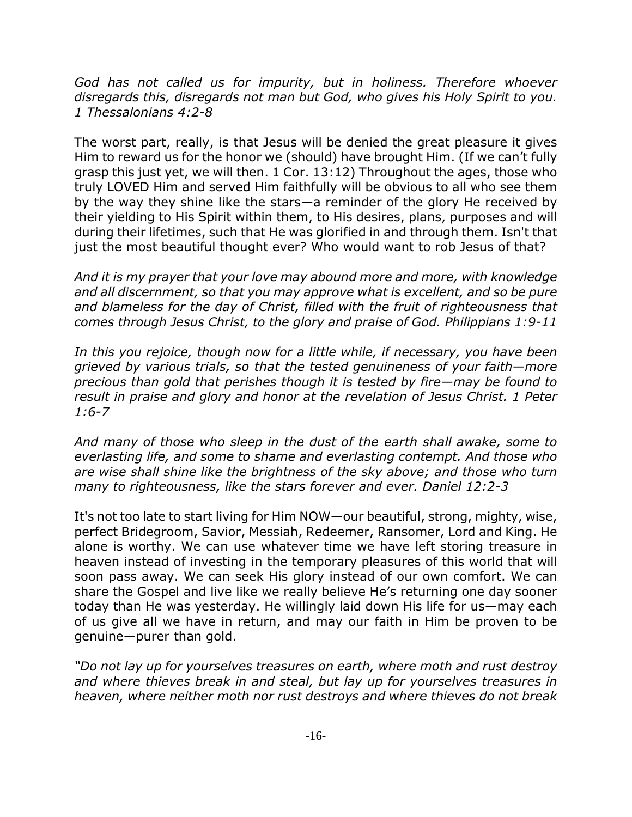*God has not called us for impurity, but in holiness. Therefore whoever disregards this, disregards not man but God, who gives his Holy Spirit to you. 1 Thessalonians 4:2-8*

The worst part, really, is that Jesus will be denied the great pleasure it gives Him to reward us for the honor we (should) have brought Him. (If we can't fully grasp this just yet, we will then. 1 Cor. 13:12) Throughout the ages, those who truly LOVED Him and served Him faithfully will be obvious to all who see them by the way they shine like the stars—a reminder of the glory He received by their yielding to His Spirit within them, to His desires, plans, purposes and will during their lifetimes, such that He was glorified in and through them. Isn't that just the most beautiful thought ever? Who would want to rob Jesus of that?

*And it is my prayer that your love may abound more and more, with knowledge and all discernment, so that you may approve what is excellent, and so be pure and blameless for the day of Christ, filled with the fruit of righteousness that comes through Jesus Christ, to the glory and praise of God. Philippians 1:9-11*

*In this you rejoice, though now for a little while, if necessary, you have been grieved by various trials, so that the tested genuineness of your faith—more precious than gold that perishes though it is tested by fire—may be found to result in praise and glory and honor at the revelation of Jesus Christ. 1 Peter 1:6-7*

*And many of those who sleep in the dust of the earth shall awake, some to everlasting life, and some to shame and everlasting contempt. And those who are wise shall shine like the brightness of the sky above; and those who turn many to righteousness, like the stars forever and ever. Daniel 12:2-3*

It's not too late to start living for Him NOW—our beautiful, strong, mighty, wise, perfect Bridegroom, Savior, Messiah, Redeemer, Ransomer, Lord and King. He alone is worthy. We can use whatever time we have left storing treasure in heaven instead of investing in the temporary pleasures of this world that will soon pass away. We can seek His glory instead of our own comfort. We can share the Gospel and live like we really believe He's returning one day sooner today than He was yesterday. He willingly laid down His life for us—may each of us give all we have in return, and may our faith in Him be proven to be genuine—purer than gold.

*"Do not lay up for yourselves treasures on earth, where moth and rust destroy and where thieves break in and steal, but lay up for yourselves treasures in heaven, where neither moth nor rust destroys and where thieves do not break*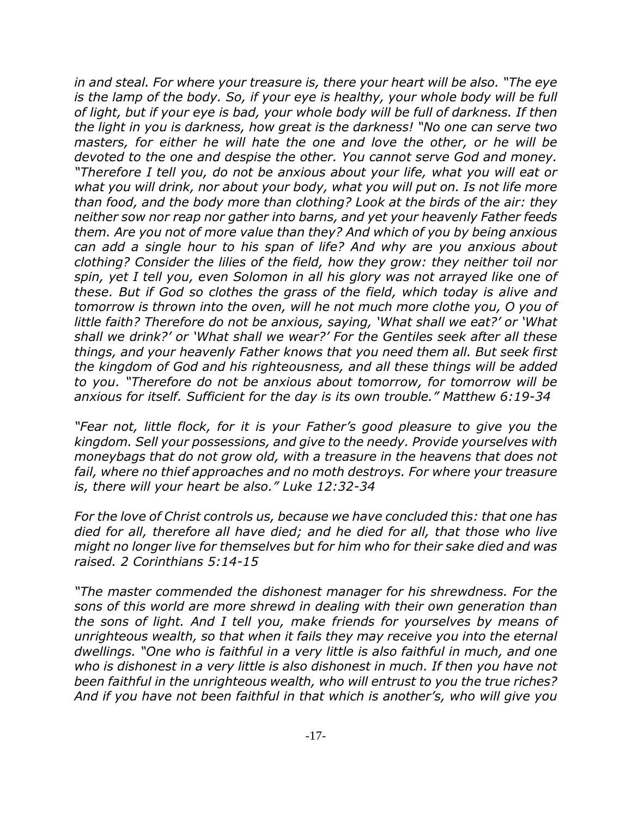*in and steal. For where your treasure is, there your heart will be also. "The eye is the lamp of the body. So, if your eye is healthy, your whole body will be full of light, but if your eye is bad, your whole body will be full of darkness. If then the light in you is darkness, how great is the darkness! "No one can serve two masters, for either he will hate the one and love the other, or he will be devoted to the one and despise the other. You cannot serve God and money. "Therefore I tell you, do not be anxious about your life, what you will eat or what you will drink, nor about your body, what you will put on. Is not life more than food, and the body more than clothing? Look at the birds of the air: they neither sow nor reap nor gather into barns, and yet your heavenly Father feeds them. Are you not of more value than they? And which of you by being anxious can add a single hour to his span of life? And why are you anxious about clothing? Consider the lilies of the field, how they grow: they neither toil nor spin, yet I tell you, even Solomon in all his glory was not arrayed like one of these. But if God so clothes the grass of the field, which today is alive and tomorrow is thrown into the oven, will he not much more clothe you, O you of little faith? Therefore do not be anxious, saying, 'What shall we eat?' or 'What shall we drink?' or 'What shall we wear?' For the Gentiles seek after all these things, and your heavenly Father knows that you need them all. But seek first the kingdom of God and his righteousness, and all these things will be added to you. "Therefore do not be anxious about tomorrow, for tomorrow will be anxious for itself. Sufficient for the day is its own trouble." Matthew 6:19-34*

*"Fear not, little flock, for it is your Father's good pleasure to give you the kingdom. Sell your possessions, and give to the needy. Provide yourselves with moneybags that do not grow old, with a treasure in the heavens that does not fail, where no thief approaches and no moth destroys. For where your treasure is, there will your heart be also." Luke 12:32-34*

*For the love of Christ controls us, because we have concluded this: that one has died for all, therefore all have died; and he died for all, that those who live might no longer live for themselves but for him who for their sake died and was raised. 2 Corinthians 5:14-15*

*"The master commended the dishonest manager for his shrewdness. For the sons of this world are more shrewd in dealing with their own generation than the sons of light. And I tell you, make friends for yourselves by means of unrighteous wealth, so that when it fails they may receive you into the eternal dwellings. "One who is faithful in a very little is also faithful in much, and one who is dishonest in a very little is also dishonest in much. If then you have not been faithful in the unrighteous wealth, who will entrust to you the true riches? And if you have not been faithful in that which is another's, who will give you*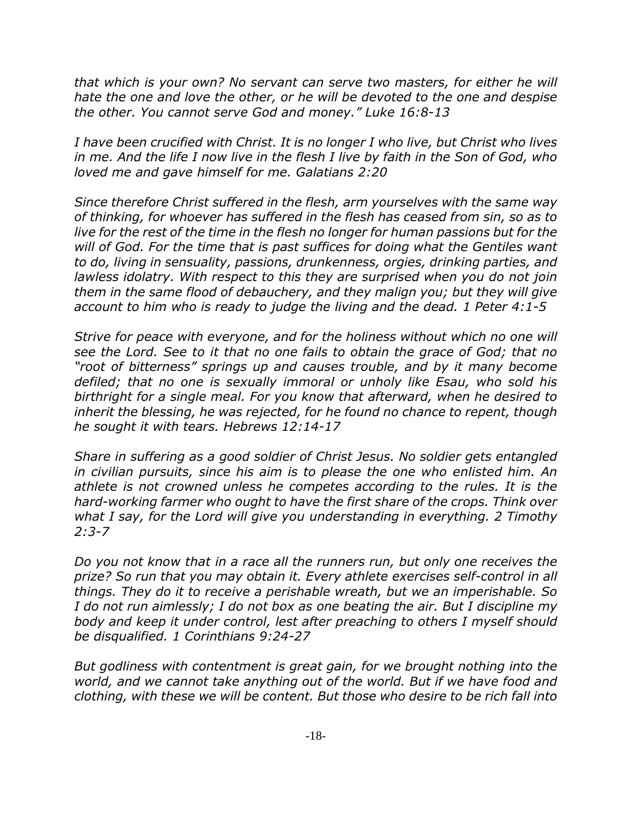*that which is your own? No servant can serve two masters, for either he will hate the one and love the other, or he will be devoted to the one and despise the other. You cannot serve God and money." Luke 16:8-13*

*I have been crucified with Christ. It is no longer I who live, but Christ who lives in me. And the life I now live in the flesh I live by faith in the Son of God, who loved me and gave himself for me. Galatians 2:20*

*Since therefore Christ suffered in the flesh, arm yourselves with the same way of thinking, for whoever has suffered in the flesh has ceased from sin, so as to live for the rest of the time in the flesh no longer for human passions but for the will of God. For the time that is past suffices for doing what the Gentiles want to do, living in sensuality, passions, drunkenness, orgies, drinking parties, and lawless idolatry. With respect to this they are surprised when you do not join them in the same flood of debauchery, and they malign you; but they will give account to him who is ready to judge the living and the dead. 1 Peter 4:1-5*

*Strive for peace with everyone, and for the holiness without which no one will see the Lord. See to it that no one fails to obtain the grace of God; that no "root of bitterness" springs up and causes trouble, and by it many become defiled; that no one is sexually immoral or unholy like Esau, who sold his birthright for a single meal. For you know that afterward, when he desired to inherit the blessing, he was rejected, for he found no chance to repent, though he sought it with tears. Hebrews 12:14-17*

*Share in suffering as a good soldier of Christ Jesus. No soldier gets entangled in civilian pursuits, since his aim is to please the one who enlisted him. An athlete is not crowned unless he competes according to the rules. It is the hard-working farmer who ought to have the first share of the crops. Think over what I say, for the Lord will give you understanding in everything. 2 Timothy 2:3-7*

*Do you not know that in a race all the runners run, but only one receives the prize? So run that you may obtain it. Every athlete exercises self-control in all things. They do it to receive a perishable wreath, but we an imperishable. So I do not run aimlessly; I do not box as one beating the air. But I discipline my body and keep it under control, lest after preaching to others I myself should be disqualified. 1 Corinthians 9:24-27*

*But godliness with contentment is great gain, for we brought nothing into the world, and we cannot take anything out of the world. But if we have food and clothing, with these we will be content. But those who desire to be rich fall into*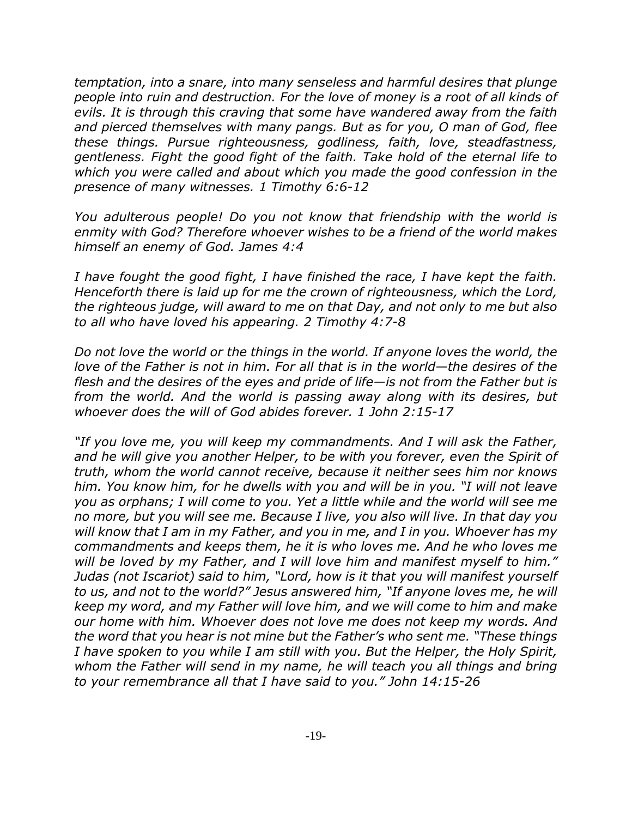*temptation, into a snare, into many senseless and harmful desires that plunge people into ruin and destruction. For the love of money is a root of all kinds of evils. It is through this craving that some have wandered away from the faith and pierced themselves with many pangs. But as for you, O man of God, flee these things. Pursue righteousness, godliness, faith, love, steadfastness, gentleness. Fight the good fight of the faith. Take hold of the eternal life to which you were called and about which you made the good confession in the presence of many witnesses. 1 Timothy 6:6-12*

*You adulterous people! Do you not know that friendship with the world is enmity with God? Therefore whoever wishes to be a friend of the world makes himself an enemy of God. James 4:4*

*I have fought the good fight, I have finished the race, I have kept the faith. Henceforth there is laid up for me the crown of righteousness, which the Lord, the righteous judge, will award to me on that Day, and not only to me but also to all who have loved his appearing. 2 Timothy 4:7-8*

*Do not love the world or the things in the world. If anyone loves the world, the love of the Father is not in him. For all that is in the world—the desires of the flesh and the desires of the eyes and pride of life—is not from the Father but is from the world. And the world is passing away along with its desires, but whoever does the will of God abides forever. 1 John 2:15-17*

*"If you love me, you will keep my commandments. And I will ask the Father, and he will give you another Helper, to be with you forever, even the Spirit of truth, whom the world cannot receive, because it neither sees him nor knows him. You know him, for he dwells with you and will be in you. "I will not leave you as orphans; I will come to you. Yet a little while and the world will see me no more, but you will see me. Because I live, you also will live. In that day you will know that I am in my Father, and you in me, and I in you. Whoever has my commandments and keeps them, he it is who loves me. And he who loves me will be loved by my Father, and I will love him and manifest myself to him." Judas (not Iscariot) said to him, "Lord, how is it that you will manifest yourself to us, and not to the world?" Jesus answered him, "If anyone loves me, he will keep my word, and my Father will love him, and we will come to him and make our home with him. Whoever does not love me does not keep my words. And the word that you hear is not mine but the Father's who sent me. "These things I have spoken to you while I am still with you. But the Helper, the Holy Spirit, whom the Father will send in my name, he will teach you all things and bring to your remembrance all that I have said to you." John 14:15-26*